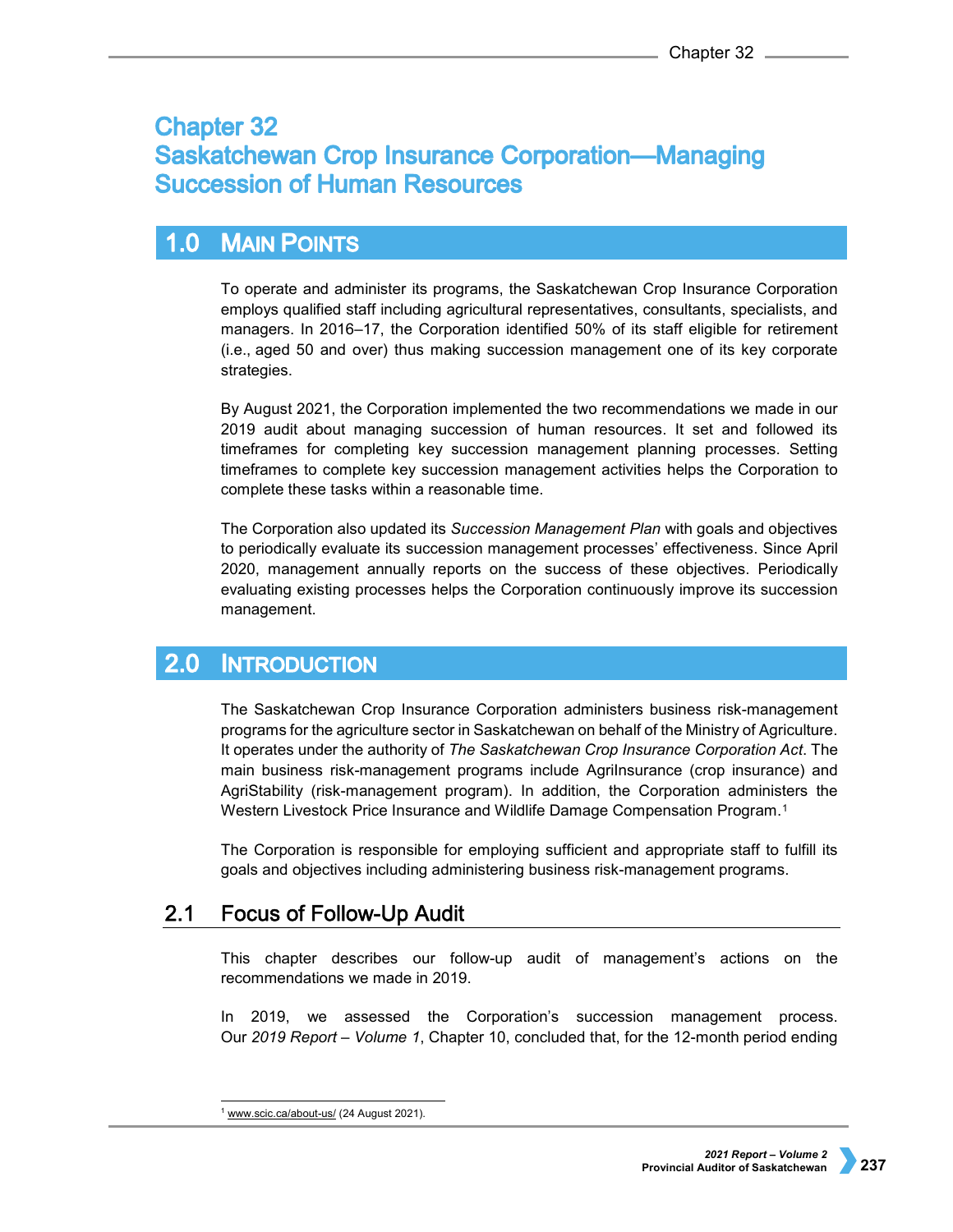# **Chapter 32 Saskatchewan Crop Insurance Corporation-Managing Succession of Human Resources**

### $1.0$ **MAIN POINTS**

To operate and administer its programs, the Saskatchewan Crop Insurance Corporation employs qualified staff including agricultural representatives, consultants, specialists, and managers. In 2016–17, the Corporation identified 50% of its staff eligible for retirement (i.e., aged 50 and over) thus making succession management one of its key corporate strategies.

By August 2021, the Corporation implemented the two recommendations we made in our 2019 audit about managing succession of human resources. It set and followed its timeframes for completing key succession management planning processes. Setting timeframes to complete key succession management activities helps the Corporation to complete these tasks within a reasonable time.

The Corporation also updated its *Succession Management Plan* with goals and objectives to periodically evaluate its succession management processes' effectiveness. Since April 2020, management annually reports on the success of these objectives. Periodically evaluating existing processes helps the Corporation continuously improve its succession management.

### $2.0$ **INTRODUCTION**

The Saskatchewan Crop Insurance Corporation administers business risk-management programs for the agriculture sector in Saskatchewan on behalf of the Ministry of Agriculture. It operates under the authority of *The Saskatchewan Crop Insurance Corporation Act*. The main business risk-management programs include AgriInsurance (crop insurance) and AgriStability (risk-management program). In addition, the Corporation administers the Western Livestock Price Insurance and Wildlife Damage Compensation Program.[1](#page-0-0)

The Corporation is responsible for employing sufficient and appropriate staff to fulfill its goals and objectives including administering business risk-management programs.

### $2.1$ **Focus of Follow-Up Audit**

This chapter describes our follow-up audit of management's actions on the recommendations we made in 2019.

In 2019, we assessed the Corporation's succession management process. Our *2019 Report – Volume 1*, Chapter 10, concluded that, for the 12-month period ending

<span id="page-0-0"></span><sup>&</sup>lt;sup>1</sup> [www.scic.ca/about-us/](http://www.scic.ca/about-us/) (24 August 2021).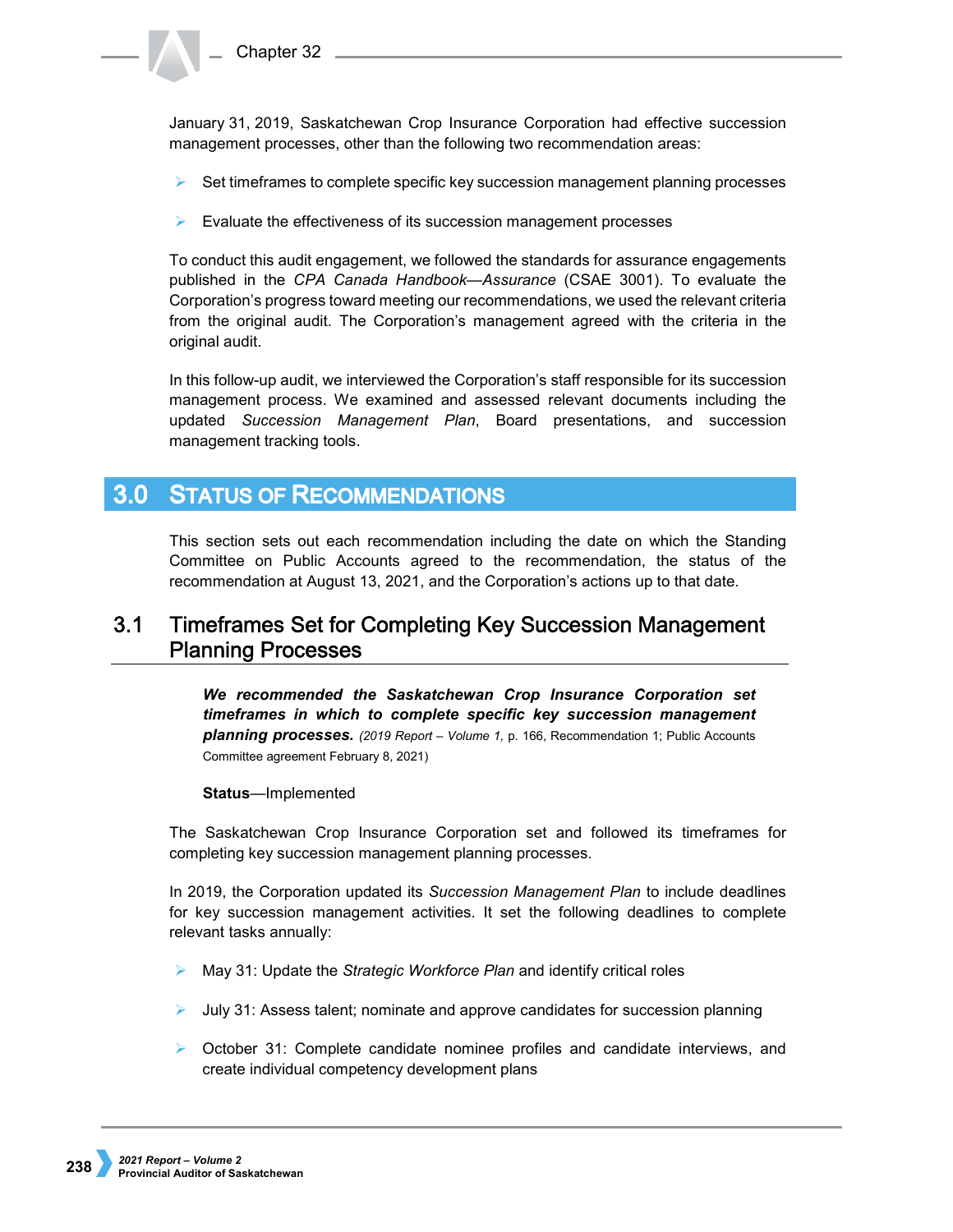January 31, 2019, Saskatchewan Crop Insurance Corporation had effective succession management processes, other than the following two recommendation areas:

- Set timeframes to complete specific key succession management planning processes
- $\triangleright$  Evaluate the effectiveness of its succession management processes

To conduct this audit engagement, we followed the standards for assurance engagements published in the *CPA Canada Handbook—Assurance* (CSAE 3001). To evaluate the Corporation's progress toward meeting our recommendations, we used the relevant criteria from the original audit. The Corporation's management agreed with the criteria in the original audit.

In this follow-up audit, we interviewed the Corporation's staff responsible for its succession management process. We examined and assessed relevant documents including the updated *Succession Management Plan*, Board presentations, and succession management tracking tools.

## **3.0 STATUS OF RECOMMENDATIONS**

This section sets out each recommendation including the date on which the Standing Committee on Public Accounts agreed to the recommendation, the status of the recommendation at August 13, 2021, and the Corporation's actions up to that date.

### $3.1$ Timeframes Set for Completing Key Succession Management **Planning Processes**

*We recommended the Saskatchewan Crop Insurance Corporation set timeframes in which to complete specific key succession management planning processes. (2019 Report – Volume 1,* p. 166, Recommendation 1; Public Accounts Committee agreement February 8, 2021)

## **Status**—Implemented

The Saskatchewan Crop Insurance Corporation set and followed its timeframes for completing key succession management planning processes.

In 2019, the Corporation updated its *Succession Management Plan* to include deadlines for key succession management activities. It set the following deadlines to complete relevant tasks annually:

- May 31: Update the *Strategic Workforce Plan* and identify critical roles
- $\blacktriangleright$  July 31: Assess talent; nominate and approve candidates for succession planning
- $\triangleright$  October 31: Complete candidate nominee profiles and candidate interviews, and create individual competency development plans